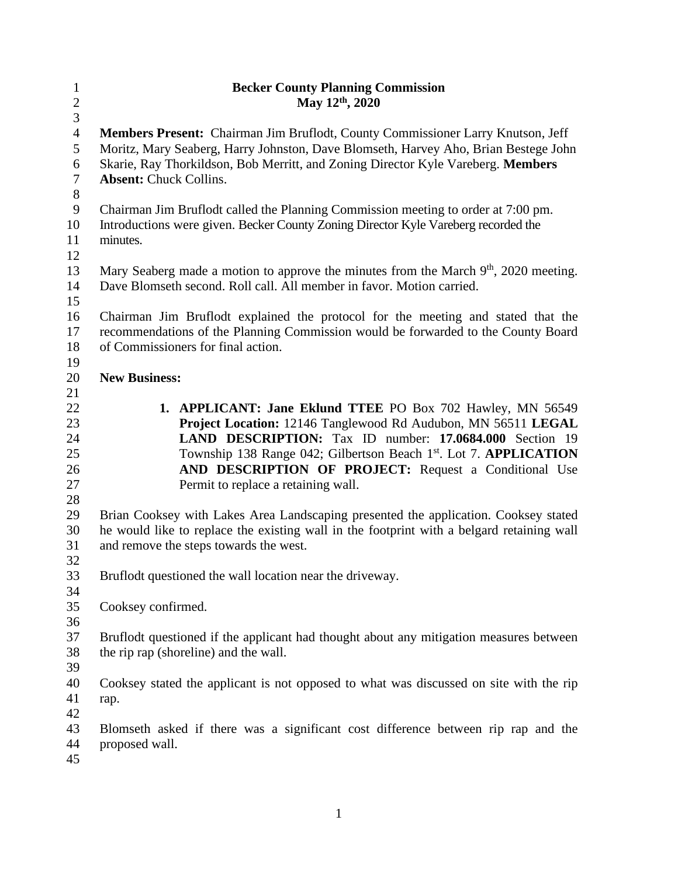| $\mathbf{1}$     | <b>Becker County Planning Commission</b>                                                         |
|------------------|--------------------------------------------------------------------------------------------------|
| $\overline{c}$   | May 12th, 2020                                                                                   |
| 3                |                                                                                                  |
| $\overline{4}$   | Members Present: Chairman Jim Bruflodt, County Commissioner Larry Knutson, Jeff                  |
| 5                | Moritz, Mary Seaberg, Harry Johnston, Dave Blomseth, Harvey Aho, Brian Bestege John              |
| 6                | Skarie, Ray Thorkildson, Bob Merritt, and Zoning Director Kyle Vareberg. Members                 |
| $\overline{7}$   | <b>Absent: Chuck Collins.</b>                                                                    |
| $8\,$            |                                                                                                  |
| $\boldsymbol{9}$ | Chairman Jim Bruflodt called the Planning Commission meeting to order at 7:00 pm.                |
| 10               | Introductions were given. Becker County Zoning Director Kyle Vareberg recorded the               |
| 11               | minutes.                                                                                         |
| 12               |                                                                                                  |
| 13               | Mary Seaberg made a motion to approve the minutes from the March 9 <sup>th</sup> , 2020 meeting. |
| 14               | Dave Blomseth second. Roll call. All member in favor. Motion carried.                            |
| 15               |                                                                                                  |
| 16               | Chairman Jim Bruflodt explained the protocol for the meeting and stated that the                 |
| 17               | recommendations of the Planning Commission would be forwarded to the County Board                |
| 18               | of Commissioners for final action.                                                               |
| 19               |                                                                                                  |
| 20               | <b>New Business:</b>                                                                             |
| 21               |                                                                                                  |
| 22               | 1. APPLICANT: Jane Eklund TTEE PO Box 702 Hawley, MN 56549                                       |
| 23               | Project Location: 12146 Tanglewood Rd Audubon, MN 56511 LEGAL                                    |
| 24               | LAND DESCRIPTION: Tax ID number: 17.0684.000 Section 19                                          |
| 25               | Township 138 Range 042; Gilbertson Beach 1 <sup>st</sup> . Lot 7. <b>APPLICATION</b>             |
| 26               | AND DESCRIPTION OF PROJECT: Request a Conditional Use                                            |
| 27               | Permit to replace a retaining wall.                                                              |
| 28               |                                                                                                  |
| 29               | Brian Cooksey with Lakes Area Landscaping presented the application. Cooksey stated              |
| 30               | he would like to replace the existing wall in the footprint with a belgard retaining wall        |
| 31               | and remove the steps towards the west.                                                           |
| 32               |                                                                                                  |
| 33               | Bruflodt questioned the wall location near the driveway.                                         |
| 34               |                                                                                                  |
| 35               | Cooksey confirmed.                                                                               |
| 36               |                                                                                                  |
| 37               | Bruflodt questioned if the applicant had thought about any mitigation measures between           |
| 38               | the rip rap (shoreline) and the wall.                                                            |
| 39               |                                                                                                  |
| 40               | Cooksey stated the applicant is not opposed to what was discussed on site with the rip           |
| 41               | rap.                                                                                             |
| 42               |                                                                                                  |
| 43               | Blomseth asked if there was a significant cost difference between rip rap and the                |
| 44               | proposed wall.                                                                                   |
| 45               |                                                                                                  |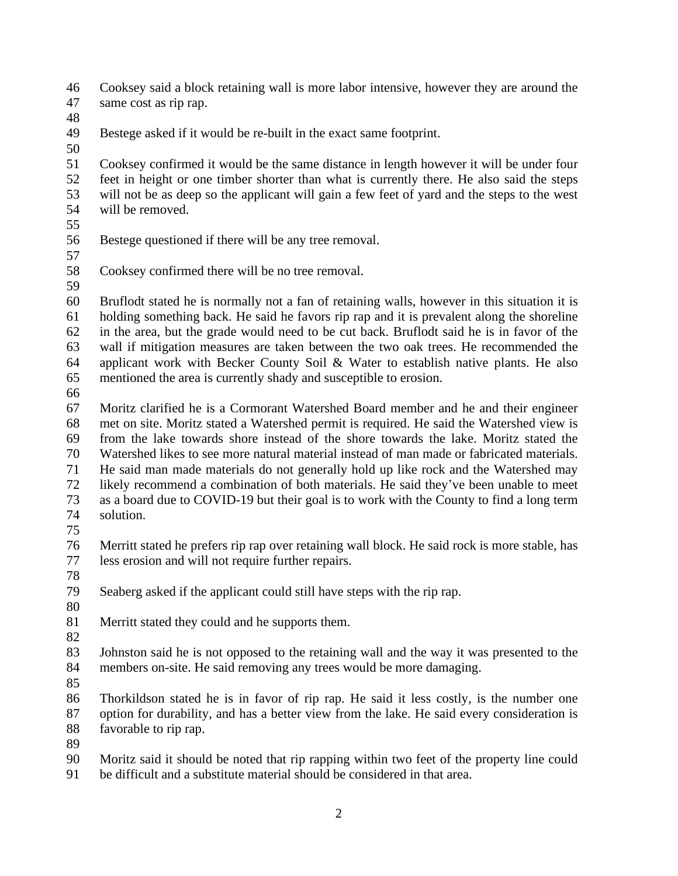Cooksey said a block retaining wall is more labor intensive, however they are around the same cost as rip rap.

Bestege asked if it would be re-built in the exact same footprint.

 Cooksey confirmed it would be the same distance in length however it will be under four feet in height or one timber shorter than what is currently there. He also said the steps will not be as deep so the applicant will gain a few feet of yard and the steps to the west will be removed.

- 
- Bestege questioned if there will be any tree removal.
- 

Cooksey confirmed there will be no tree removal.

 Bruflodt stated he is normally not a fan of retaining walls, however in this situation it is holding something back. He said he favors rip rap and it is prevalent along the shoreline in the area, but the grade would need to be cut back. Bruflodt said he is in favor of the wall if mitigation measures are taken between the two oak trees. He recommended the applicant work with Becker County Soil & Water to establish native plants. He also mentioned the area is currently shady and susceptible to erosion.

 Moritz clarified he is a Cormorant Watershed Board member and he and their engineer met on site. Moritz stated a Watershed permit is required. He said the Watershed view is from the lake towards shore instead of the shore towards the lake. Moritz stated the Watershed likes to see more natural material instead of man made or fabricated materials. He said man made materials do not generally hold up like rock and the Watershed may likely recommend a combination of both materials. He said they've been unable to meet as a board due to COVID-19 but their goal is to work with the County to find a long term solution.

76 Merritt stated he prefers rip rap over retaining wall block. He said rock is more stable, has<br>77 less erosion and will not require further repairs. less erosion and will not require further repairs.

Seaberg asked if the applicant could still have steps with the rip rap.

Merritt stated they could and he supports them.

 Johnston said he is not opposed to the retaining wall and the way it was presented to the members on-site. He said removing any trees would be more damaging.

 Thorkildson stated he is in favor of rip rap. He said it less costly, is the number one option for durability, and has a better view from the lake. He said every consideration is favorable to rip rap.

Moritz said it should be noted that rip rapping within two feet of the property line could

be difficult and a substitute material should be considered in that area.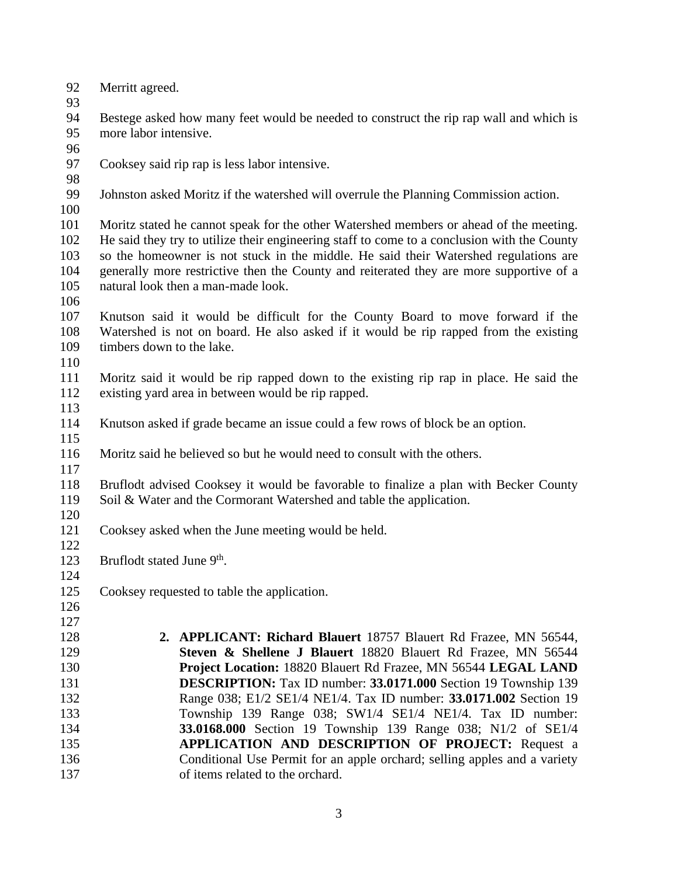- Merritt agreed.
- 

 Bestege asked how many feet would be needed to construct the rip rap wall and which is more labor intensive.

- 
- Cooksey said rip rap is less labor intensive.
- 

Johnston asked Moritz if the watershed will overrule the Planning Commission action.

 Moritz stated he cannot speak for the other Watershed members or ahead of the meeting. He said they try to utilize their engineering staff to come to a conclusion with the County so the homeowner is not stuck in the middle. He said their Watershed regulations are generally more restrictive then the County and reiterated they are more supportive of a natural look then a man-made look.

 Knutson said it would be difficult for the County Board to move forward if the Watershed is not on board. He also asked if it would be rip rapped from the existing 109 timbers down to the lake.

 Moritz said it would be rip rapped down to the existing rip rap in place. He said the existing yard area in between would be rip rapped.

Knutson asked if grade became an issue could a few rows of block be an option.

Moritz said he believed so but he would need to consult with the others.

 Bruflodt advised Cooksey it would be favorable to finalize a plan with Becker County Soil & Water and the Cormorant Watershed and table the application.

Cooksey asked when the June meeting would be held.

 $\frac{122}{123}$ 123 Bruflodt stated June 9<sup>th</sup>.

- 
- Cooksey requested to table the application.
- **2. APPLICANT: Richard Blauert** 18757 Blauert Rd Frazee, MN 56544, **Steven & Shellene J Blauert** 18820 Blauert Rd Frazee, MN 56544 **Project Location:** 18820 Blauert Rd Frazee, MN 56544 **LEGAL LAND DESCRIPTION:** Tax ID number: **33.0171.000** Section 19 Township 139 Range 038; E1/2 SE1/4 NE1/4. Tax ID number: **33.0171.002** Section 19 Township 139 Range 038; SW1/4 SE1/4 NE1/4. Tax ID number: **33.0168.000** Section 19 Township 139 Range 038; N1/2 of SE1/4 **APPLICATION AND DESCRIPTION OF PROJECT:** Request a Conditional Use Permit for an apple orchard; selling apples and a variety of items related to the orchard.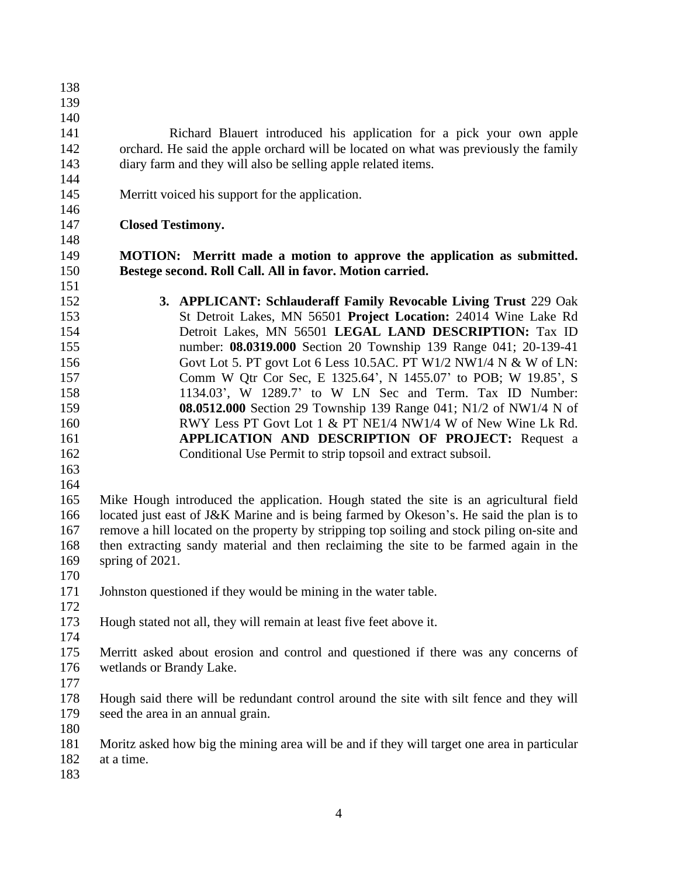- Richard Blauert introduced his application for a pick your own apple orchard. He said the apple orchard will be located on what was previously the family diary farm and they will also be selling apple related items.
- Merritt voiced his support for the application.

## **Closed Testimony.**

 **MOTION: Merritt made a motion to approve the application as submitted. Bestege second. Roll Call. All in favor. Motion carried.**

- **3. APPLICANT: Schlauderaff Family Revocable Living Trust** 229 Oak St Detroit Lakes, MN 56501 **Project Location:** 24014 Wine Lake Rd Detroit Lakes, MN 56501 **LEGAL LAND DESCRIPTION:** Tax ID number: **08.0319.000** Section 20 Township 139 Range 041; 20-139-41 Govt Lot 5. PT govt Lot 6 Less 10.5AC. PT W1/2 NW1/4 N & W of LN: Comm W Qtr Cor Sec, E 1325.64', N 1455.07' to POB; W 19.85', S 1134.03', W 1289.7' to W LN Sec and Term. Tax ID Number: **08.0512.000** Section 29 Township 139 Range 041; N1/2 of NW1/4 N of RWY Less PT Govt Lot 1 & PT NE1/4 NW1/4 W of New Wine Lk Rd. **APPLICATION AND DESCRIPTION OF PROJECT:** Request a Conditional Use Permit to strip topsoil and extract subsoil.
- 

 Mike Hough introduced the application. Hough stated the site is an agricultural field located just east of J&K Marine and is being farmed by Okeson's. He said the plan is to remove a hill located on the property by stripping top soiling and stock piling on-site and then extracting sandy material and then reclaiming the site to be farmed again in the spring of 2021.

- 
- Johnston questioned if they would be mining in the water table.
- 
- Hough stated not all, they will remain at least five feet above it.
- 

 Merritt asked about erosion and control and questioned if there was any concerns of wetlands or Brandy Lake.

 Hough said there will be redundant control around the site with silt fence and they will seed the area in an annual grain.

 Moritz asked how big the mining area will be and if they will target one area in particular at a time.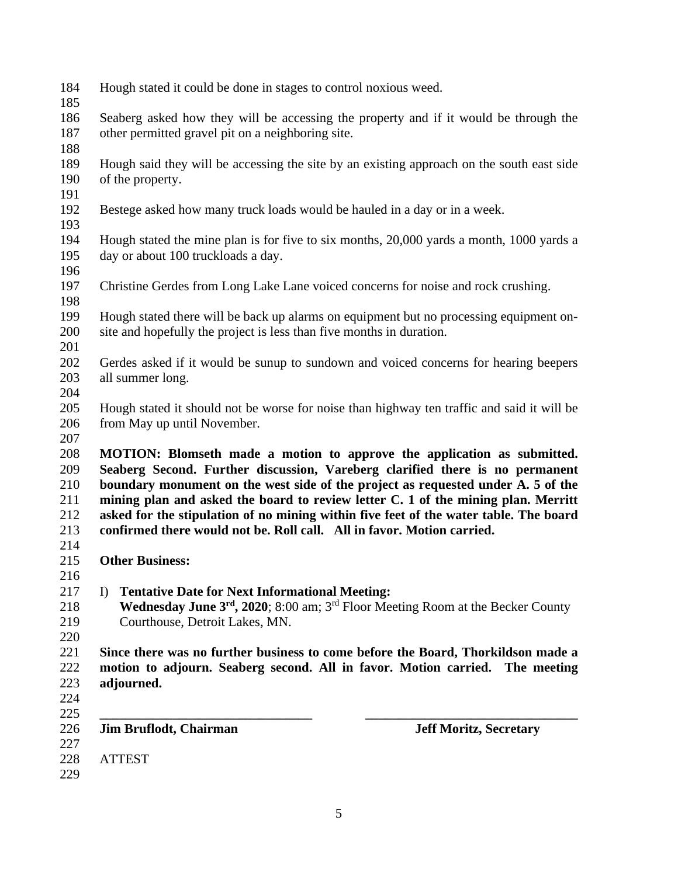- Hough stated it could be done in stages to control noxious weed.
- 

 Seaberg asked how they will be accessing the property and if it would be through the other permitted gravel pit on a neighboring site.

- 
- Hough said they will be accessing the site by an existing approach on the south east side of the property.
- 
- Bestege asked how many truck loads would be hauled in a day or in a week.
- Hough stated the mine plan is for five to six months, 20,000 yards a month, 1000 yards a day or about 100 truckloads a day.
- 
- Christine Gerdes from Long Lake Lane voiced concerns for noise and rock crushing.
- Hough stated there will be back up alarms on equipment but no processing equipment on-site and hopefully the project is less than five months in duration.
- 

- Gerdes asked if it would be sunup to sundown and voiced concerns for hearing beepers all summer long.
- Hough stated it should not be worse for noise than highway ten traffic and said it will be from May up until November.
- 

 **MOTION: Blomseth made a motion to approve the application as submitted. Seaberg Second. Further discussion, Vareberg clarified there is no permanent boundary monument on the west side of the project as requested under A. 5 of the mining plan and asked the board to review letter C. 1 of the mining plan. Merritt asked for the stipulation of no mining within five feet of the water table. The board confirmed there would not be. Roll call. All in favor. Motion carried.**

- **Other Business:**
- 

- I) **Tentative Date for Next Informational Meeting:**
- 218 **Wednesday June 3<sup>rd</sup>, 2020**; 8:00 am; 3<sup>rd</sup> Floor Meeting Room at the Becker County Courthouse, Detroit Lakes, MN.
- 

 **Since there was no further business to come before the Board, Thorkildson made a motion to adjourn. Seaberg second. All in favor. Motion carried. The meeting adjourned.** 

- 
- **\_\_\_\_\_\_\_\_\_\_\_\_\_\_\_\_\_\_\_\_\_\_\_\_\_\_\_\_\_\_\_\_ \_\_\_\_\_\_\_\_\_\_\_\_\_\_\_\_\_\_\_\_\_\_\_\_\_\_\_\_\_\_\_\_**
- **Jim Bruflodt, Chairman Jeff Moritz, Secretary**
- ATTEST
-